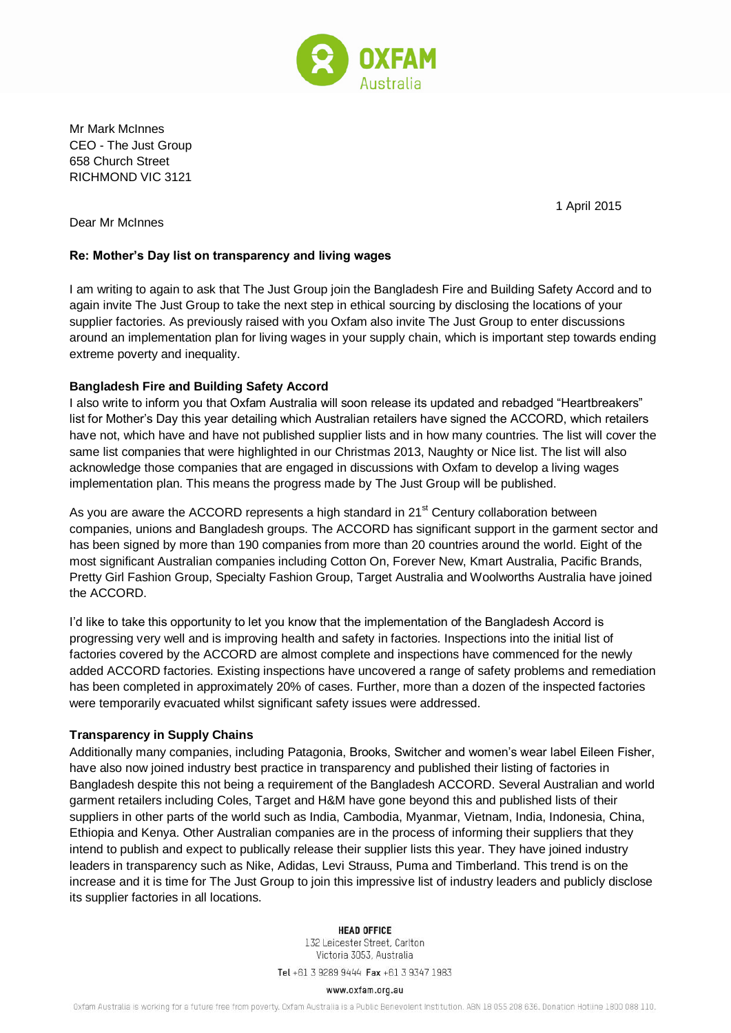

Mr Mark McInnes CEO - The Just Group 658 Church Street RICHMOND VIC 3121

1 April 2015

Dear Mr McInnes

# **Re: Mother's Day list on transparency and living wages**

I am writing to again to ask that The Just Group join the Bangladesh Fire and Building Safety Accord and to again invite The Just Group to take the next step in ethical sourcing by disclosing the locations of your supplier factories. As previously raised with you Oxfam also invite The Just Group to enter discussions around an implementation plan for living wages in your supply chain, which is important step towards ending extreme poverty and inequality.

# **Bangladesh Fire and Building Safety Accord**

I also write to inform you that Oxfam Australia will soon release its updated and rebadged "Heartbreakers" list for Mother's Day this year detailing which Australian retailers have signed the ACCORD, which retailers have not, which have and have not published supplier lists and in how many countries. The list will cover the same list companies that were highlighted in our Christmas 2013, Naughty or Nice list. The list will also acknowledge those companies that are engaged in discussions with Oxfam to develop a living wages implementation plan. This means the progress made by The Just Group will be published.

As you are aware the ACCORD represents a high standard in 21<sup>st</sup> Century collaboration between companies, unions and Bangladesh groups. The ACCORD has significant support in the garment sector and has been signed by more than 190 companies from more than 20 countries around the world. Eight of the most significant Australian companies including Cotton On, Forever New, Kmart Australia, Pacific Brands, Pretty Girl Fashion Group, Specialty Fashion Group, Target Australia and Woolworths Australia have joined the ACCORD.

I'd like to take this opportunity to let you know that the implementation of the Bangladesh Accord is progressing very well and is improving health and safety in factories. Inspections into the initial list of factories covered by the ACCORD are almost complete and inspections have commenced for the newly added ACCORD factories. Existing inspections have uncovered a range of safety problems and remediation has been completed in approximately 20% of cases. Further, more than a dozen of the inspected factories were temporarily evacuated whilst significant safety issues were addressed.

# **Transparency in Supply Chains**

Additionally many companies, including Patagonia, Brooks, Switcher and women's wear label Eileen Fisher, have also now joined industry best practice in transparency and published their listing of factories in Bangladesh despite this not being a requirement of the Bangladesh ACCORD. Several Australian and world garment retailers including Coles, Target and H&M have gone beyond this and published lists of their suppliers in other parts of the world such as India, Cambodia, Myanmar, Vietnam, India, Indonesia, China, Ethiopia and Kenya. Other Australian companies are in the process of informing their suppliers that they intend to publish and expect to publically release their supplier lists this year. They have joined industry leaders in transparency such as Nike, Adidas, Levi Strauss, Puma and Timberland. This trend is on the increase and it is time for The Just Group to join this impressive list of industry leaders and publicly disclose its supplier factories in all locations.

#### **HEAD OFFICE**

132 Leicester Street, Carlton Victoria 3053, Australia

Tel +61 3 9289 9444 Fax +61 3 9347 1983

#### www.oxfam.org.au

Oxfam Australia is working for a future free from poverty. Oxfam Australia is a Public Benevolent Institution. ABN 18 055 208 636. Donation Hotline 1800 088 110.